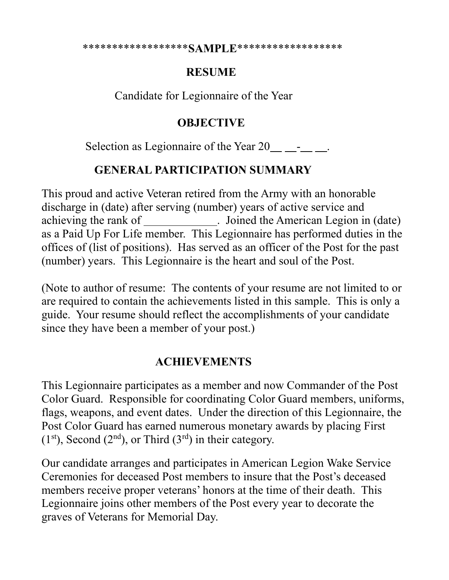\*\*\*\*\*\*\*\*\*\*\*\*\*\*\*\*\*\***SAMPLE**\*\*\*\*\*\*\*\*\*\*\*\*\*\*\*\*\*\*

## **RESUME**

Candidate for Legionnaire of the Year

## **OBJECTIVE**

Selection as Legionnaire of the Year 20 - .

## **GENERAL PARTICIPATION SUMMARY**

This proud and active Veteran retired from the Army with an honorable discharge in (date) after serving (number) years of active service and achieving the rank of \_\_\_\_\_\_\_\_\_\_\_\_\_. Joined the American Legion in (date) as a Paid Up For Life member. This Legionnaire has performed duties in the offices of (list of positions). Has served as an officer of the Post for the past (number) years. This Legionnaire is the heart and soul of the Post.

(Note to author of resume: The contents of your resume are not limited to or are required to contain the achievements listed in this sample. This is only a guide. Your resume should reflect the accomplishments of your candidate since they have been a member of your post.)

## **ACHIEVEMENTS**

This Legionnaire participates as a member and now Commander of the Post Color Guard. Responsible for coordinating Color Guard members, uniforms, flags, weapons, and event dates. Under the direction of this Legionnaire, the Post Color Guard has earned numerous monetary awards by placing First  $(1<sup>st</sup>)$ , Second  $(2<sup>nd</sup>)$ , or Third  $(3<sup>rd</sup>)$  in their category.

Our candidate arranges and participates in American Legion Wake Service Ceremonies for deceased Post members to insure that the Post's deceased members receive proper veterans' honors at the time of their death. This Legionnaire joins other members of the Post every year to decorate the graves of Veterans for Memorial Day.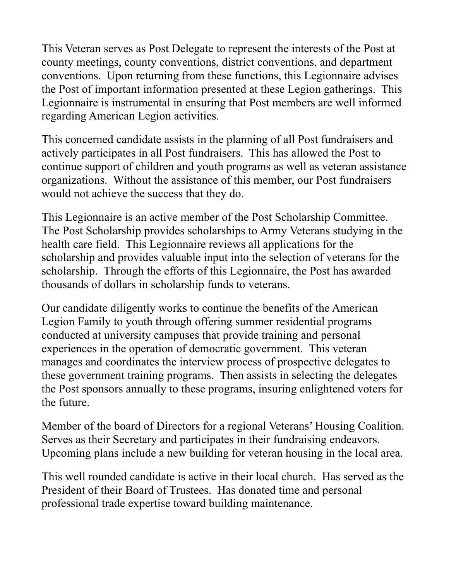This Veteran serves as Post Delegate to represent the interests of the Post at county meetings, county conventions, district conventions, and department conventions. Upon returning from these functions, this Legionnaire advises the Post of important information presented at these Legion gatherings. This Legionnaire is instrumental in ensuring that Post members are well informed regarding American Legion activities.

This concerned candidate assists in the planning of all Post fundraisers and actively participates in all Post fundraisers. This has allowed the Post to continue support of children and youth programs as well as veteran assistance organizations. Without the assistance of this member, our Post fundraisers would not achieve the success that they do.

This Legionnaire is an active member of the Post Scholarship Committee. The Post Scholarship provides scholarships to Army Veterans studying in the health care field. This Legionnaire reviews all applications for the scholarship and provides valuable input into the selection of veterans for the scholarship. Through the efforts of this Legionnaire, the Post has awarded thousands of dollars in scholarship funds to veterans.

Our candidate diligently works to continue the benefits of the American Legion Family to youth through offering summer residential programs conducted at university campuses that provide training and personal experiences in the operation of democratic government. This veteran manages and coordinates the interview process of prospective delegates to these government training programs. Then assists in selecting the delegates the Post sponsors annually to these programs, insuring enlightened voters for the future.

Member of the board of Directors for a regional Veterans' Housing Coalition. Serves as their Secretary and participates in their fundraising endeavors. Upcoming plans include a new building for veteran housing in the local area.

This well rounded candidate is active in their local church. Has served as the President of their Board of Trustees. Has donated time and personal professional trade expertise toward building maintenance.